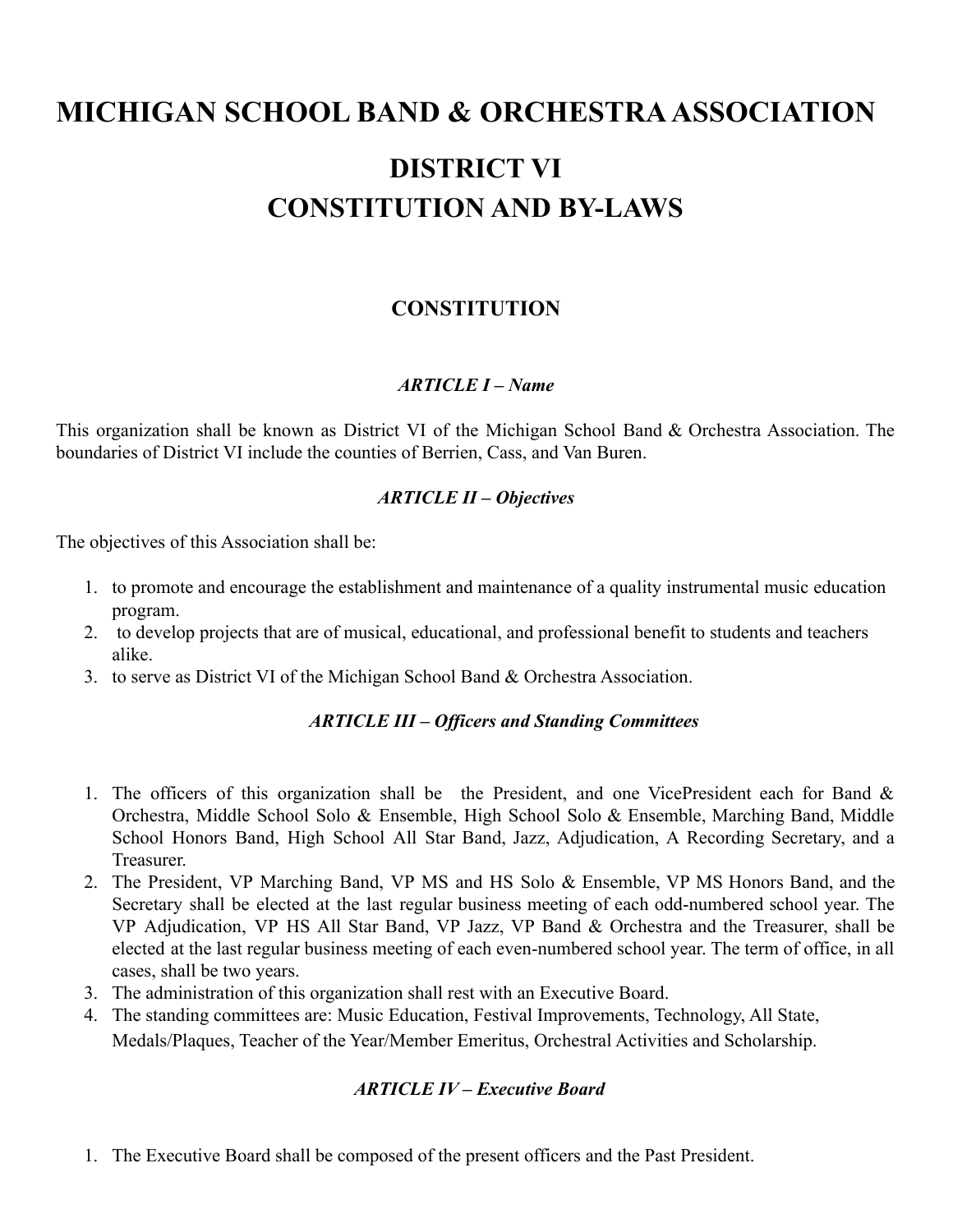# **MICHIGAN SCHOOL BAND & ORCHESTRAASSOCIATION**

# **DISTRICT VI CONSTITUTION AND BY-LAWS**

# **CONSTITUTION**

### *ARTICLE I – Name*

This organization shall be known as District VI of the Michigan School Band & Orchestra Association. The boundaries of District VI include the counties of Berrien, Cass, and Van Buren.

### *ARTICLE II – Objectives*

The objectives of this Association shall be:

- 1. to promote and encourage the establishment and maintenance of a quality instrumental music education program.
- 2. to develop projects that are of musical, educational, and professional benefit to students and teachers alike.
- 3. to serve as District VI of the Michigan School Band & Orchestra Association.

### *ARTICLE III – Officers and Standing Committees*

- 1. The officers of this organization shall be the President, and one VicePresident each for Band & Orchestra, Middle School Solo & Ensemble, High School Solo & Ensemble, Marching Band, Middle School Honors Band, High School All Star Band, Jazz, Adjudication, A Recording Secretary, and a Treasurer.
- 2. The President, VP Marching Band, VP MS and HS Solo & Ensemble, VP MS Honors Band, and the Secretary shall be elected at the last regular business meeting of each odd-numbered school year. The VP Adjudication, VP HS All Star Band, VP Jazz, VP Band & Orchestra and the Treasurer, shall be elected at the last regular business meeting of each even-numbered school year. The term of office, in all cases, shall be two years.
- 3. The administration of this organization shall rest with an Executive Board.
- 4. The standing committees are: Music Education, Festival Improvements, Technology, All State, Medals/Plaques, Teacher of the Year/Member Emeritus, Orchestral Activities and Scholarship.

### *ARTICLE IV – Executive Board*

1. The Executive Board shall be composed of the present officers and the Past President.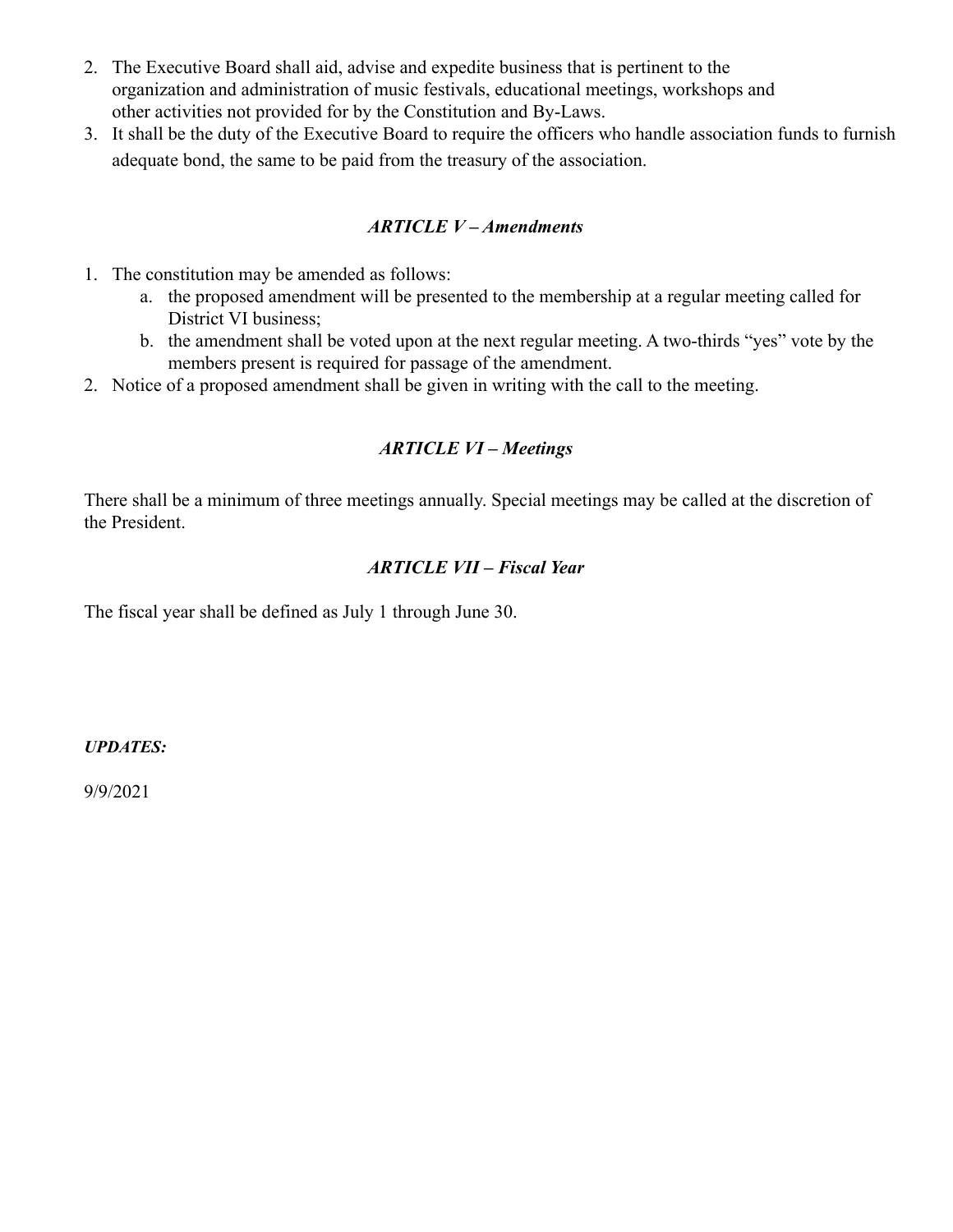- 2. The Executive Board shall aid, advise and expedite business that is pertinent to the organization and administration of music festivals, educational meetings, workshops and other activities not provided for by the Constitution and By-Laws.
- 3. It shall be the duty of the Executive Board to require the officers who handle association funds to furnish adequate bond, the same to be paid from the treasury of the association.

### *ARTICLE V – Amendments*

- 1. The constitution may be amended as follows:
	- a. the proposed amendment will be presented to the membership at a regular meeting called for District VI business;
	- b. the amendment shall be voted upon at the next regular meeting. A two-thirds "yes" vote by the members present is required for passage of the amendment.
- 2. Notice of a proposed amendment shall be given in writing with the call to the meeting.

# *ARTICLE VI – Meetings*

There shall be a minimum of three meetings annually. Special meetings may be called at the discretion of the President.

# *ARTICLE VII – Fiscal Year*

The fiscal year shall be defined as July 1 through June 30.

*UPDATES:*

9/9/2021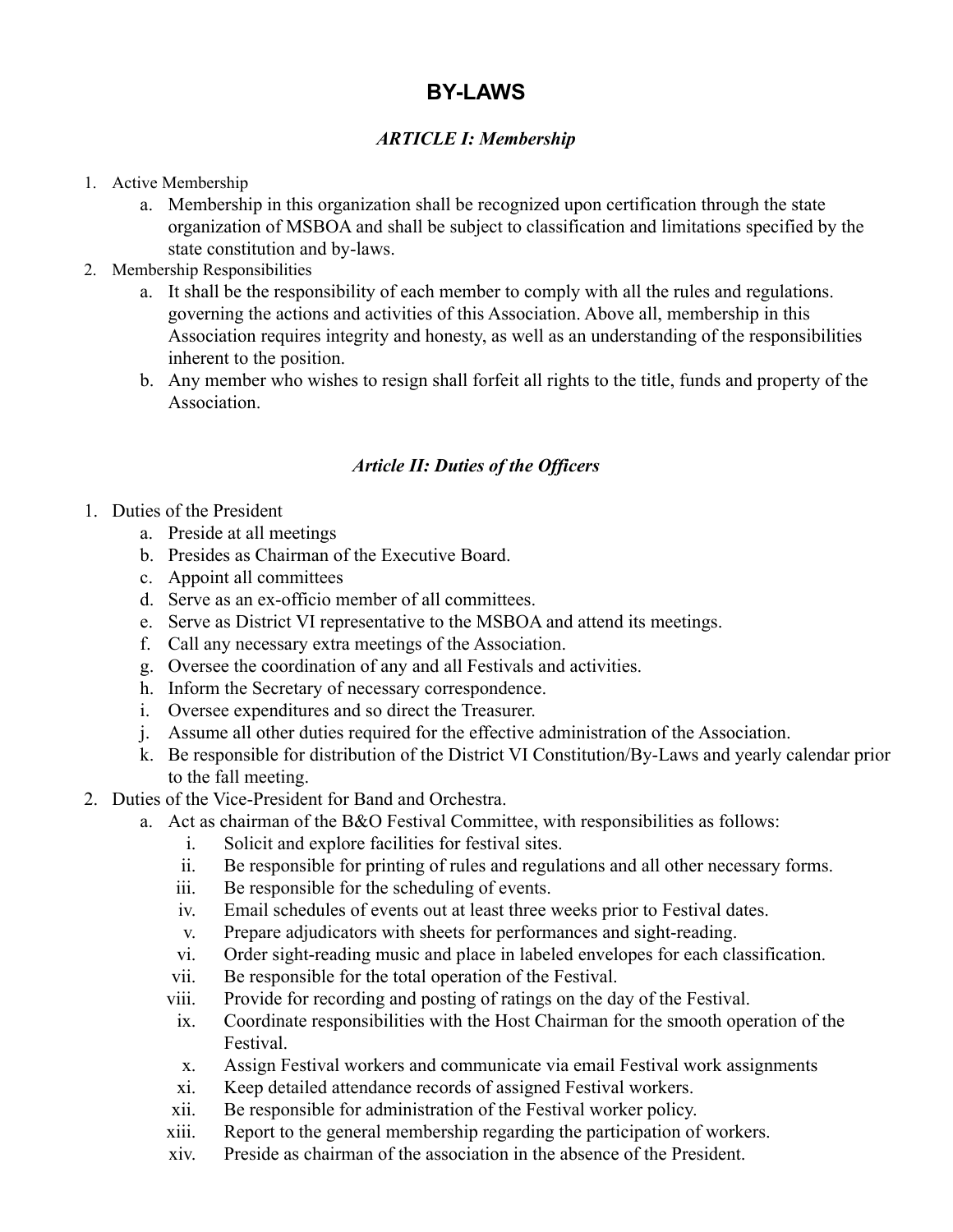# **BY-LAWS**

# *ARTICLE I: Membership*

- 1. Active Membership
	- a. Membership in this organization shall be recognized upon certification through the state organization of MSBOA and shall be subject to classification and limitations specified by the state constitution and by-laws.
- 2. Membership Responsibilities
	- a. It shall be the responsibility of each member to comply with all the rules and regulations. governing the actions and activities of this Association. Above all, membership in this Association requires integrity and honesty, as well as an understanding of the responsibilities inherent to the position.
	- b. Any member who wishes to resign shall forfeit all rights to the title, funds and property of the **Association**

# *Article II: Duties of the Officers*

- 1. Duties of the President
	- a. Preside at all meetings
	- b. Presides as Chairman of the Executive Board.
	- c. Appoint all committees
	- d. Serve as an ex-officio member of all committees.
	- e. Serve as District VI representative to the MSBOA and attend its meetings.
	- f. Call any necessary extra meetings of the Association.
	- g. Oversee the coordination of any and all Festivals and activities.
	- h. Inform the Secretary of necessary correspondence.
	- i. Oversee expenditures and so direct the Treasurer.
	- j. Assume all other duties required for the effective administration of the Association.
	- k. Be responsible for distribution of the District VI Constitution/By-Laws and yearly calendar prior to the fall meeting.
- 2. Duties of the Vice-President for Band and Orchestra.
	- a. Act as chairman of the B&O Festival Committee, with responsibilities as follows:
		- i. Solicit and explore facilities for festival sites.
		- ii. Be responsible for printing of rules and regulations and all other necessary forms.
		- iii. Be responsible for the scheduling of events.
		- iv. Email schedules of events out at least three weeks prior to Festival dates.
		- v. Prepare adjudicators with sheets for performances and sight-reading.
		- vi. Order sight-reading music and place in labeled envelopes for each classification.
		- vii. Be responsible for the total operation of the Festival.
		- viii. Provide for recording and posting of ratings on the day of the Festival.
		- ix. Coordinate responsibilities with the Host Chairman for the smooth operation of the Festival.
		- x. Assign Festival workers and communicate via email Festival work assignments
		- xi. Keep detailed attendance records of assigned Festival workers.
		- xii. Be responsible for administration of the Festival worker policy.
		- xiii. Report to the general membership regarding the participation of workers.
		- xiv. Preside as chairman of the association in the absence of the President.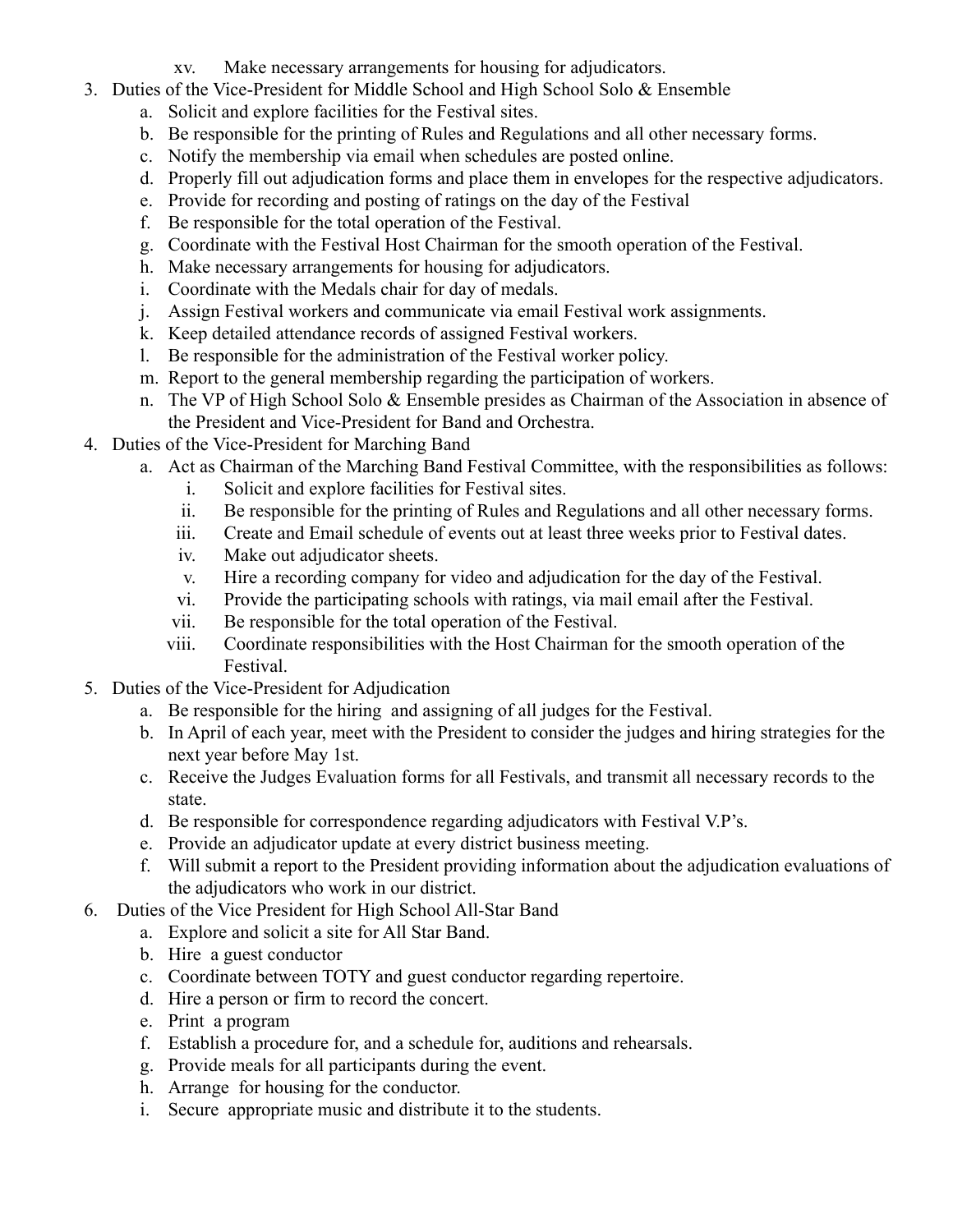- xv. Make necessary arrangements for housing for adjudicators.
- 3. Duties of the Vice-President for Middle School and High School Solo & Ensemble
	- a. Solicit and explore facilities for the Festival sites.
	- b. Be responsible for the printing of Rules and Regulations and all other necessary forms.
	- c. Notify the membership via email when schedules are posted online.
	- d. Properly fill out adjudication forms and place them in envelopes for the respective adjudicators.
	- e. Provide for recording and posting of ratings on the day of the Festival
	- f. Be responsible for the total operation of the Festival.
	- g. Coordinate with the Festival Host Chairman for the smooth operation of the Festival.
	- h. Make necessary arrangements for housing for adjudicators.
	- i. Coordinate with the Medals chair for day of medals.
	- j. Assign Festival workers and communicate via email Festival work assignments.
	- k. Keep detailed attendance records of assigned Festival workers.
	- l. Be responsible for the administration of the Festival worker policy.
	- m. Report to the general membership regarding the participation of workers.
	- n. The VP of High School Solo & Ensemble presides as Chairman of the Association in absence of the President and Vice-President for Band and Orchestra.
- 4. Duties of the Vice-President for Marching Band
	- a. Act as Chairman of the Marching Band Festival Committee, with the responsibilities as follows:
		- i. Solicit and explore facilities for Festival sites.
		- ii. Be responsible for the printing of Rules and Regulations and all other necessary forms.
		- iii. Create and Email schedule of events out at least three weeks prior to Festival dates.
		- iv. Make out adjudicator sheets.
		- v. Hire a recording company for video and adjudication for the day of the Festival.
		- vi. Provide the participating schools with ratings, via mail email after the Festival.
		- vii. Be responsible for the total operation of the Festival.
		- viii. Coordinate responsibilities with the Host Chairman for the smooth operation of the Festival.
- 5. Duties of the Vice-President for Adjudication
	- a. Be responsible for the hiring and assigning of all judges for the Festival.
	- b. In April of each year, meet with the President to consider the judges and hiring strategies for the next year before May 1st.
	- c. Receive the Judges Evaluation forms for all Festivals, and transmit all necessary records to the state.
	- d. Be responsible for correspondence regarding adjudicators with Festival V.P's.
	- e. Provide an adjudicator update at every district business meeting.
	- f. Will submit a report to the President providing information about the adjudication evaluations of the adjudicators who work in our district.
- 6. Duties of the Vice President for High School All-Star Band
	- a. Explore and solicit a site for All Star Band.
	- b. Hire a guest conductor
	- c. Coordinate between TOTY and guest conductor regarding repertoire.
	- d. Hire a person or firm to record the concert.
	- e. Print a program
	- f. Establish a procedure for, and a schedule for, auditions and rehearsals.
	- g. Provide meals for all participants during the event.
	- h. Arrange for housing for the conductor.
	- i. Secure appropriate music and distribute it to the students.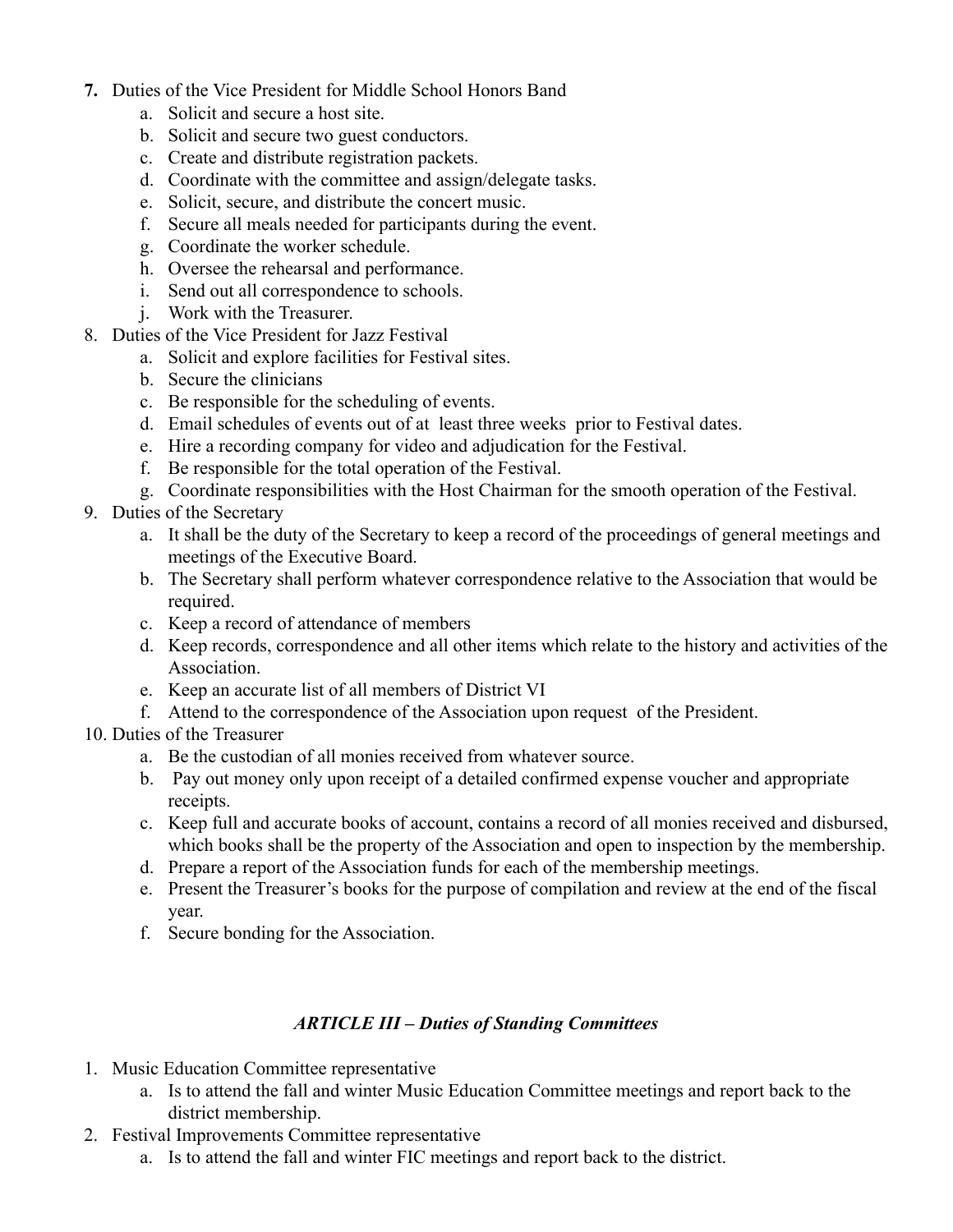- **7.** Duties of the Vice President for Middle School Honors Band
	- a. Solicit and secure a host site.
	- b. Solicit and secure two guest conductors.
	- c. Create and distribute registration packets.
	- d. Coordinate with the committee and assign/delegate tasks.
	- e. Solicit, secure, and distribute the concert music.
	- f. Secure all meals needed for participants during the event.
	- g. Coordinate the worker schedule.
	- h. Oversee the rehearsal and performance.
	- i. Send out all correspondence to schools.
	- j. Work with the Treasurer.
- 8. Duties of the Vice President for Jazz Festival
	- a. Solicit and explore facilities for Festival sites.
	- b. Secure the clinicians
	- c. Be responsible for the scheduling of events.
	- d. Email schedules of events out of at least three weeks prior to Festival dates.
	- e. Hire a recording company for video and adjudication for the Festival.
	- f. Be responsible for the total operation of the Festival.
	- g. Coordinate responsibilities with the Host Chairman for the smooth operation of the Festival.
- 9. Duties of the Secretary
	- a. It shall be the duty of the Secretary to keep a record of the proceedings of general meetings and meetings of the Executive Board.
	- b. The Secretary shall perform whatever correspondence relative to the Association that would be required.
	- c. Keep a record of attendance of members
	- d. Keep records, correspondence and all other items which relate to the history and activities of the Association.
	- e. Keep an accurate list of all members of District VI
	- f. Attend to the correspondence of the Association upon request of the President.
- 10. Duties of the Treasurer
	- a. Be the custodian of all monies received from whatever source.
	- b. Pay out money only upon receipt of a detailed confirmed expense voucher and appropriate receipts.
	- c. Keep full and accurate books of account, contains a record of all monies received and disbursed, which books shall be the property of the Association and open to inspection by the membership.
	- d. Prepare a report of the Association funds for each of the membership meetings.
	- e. Present the Treasurer's books for the purpose of compilation and review at the end of the fiscal year.
	- f. Secure bonding for the Association.

# *ARTICLE III – Duties of Standing Committees*

- 1. Music Education Committee representative
	- a. Is to attend the fall and winter Music Education Committee meetings and report back to the district membership.
- 2. Festival Improvements Committee representative
	- a. Is to attend the fall and winter FIC meetings and report back to the district.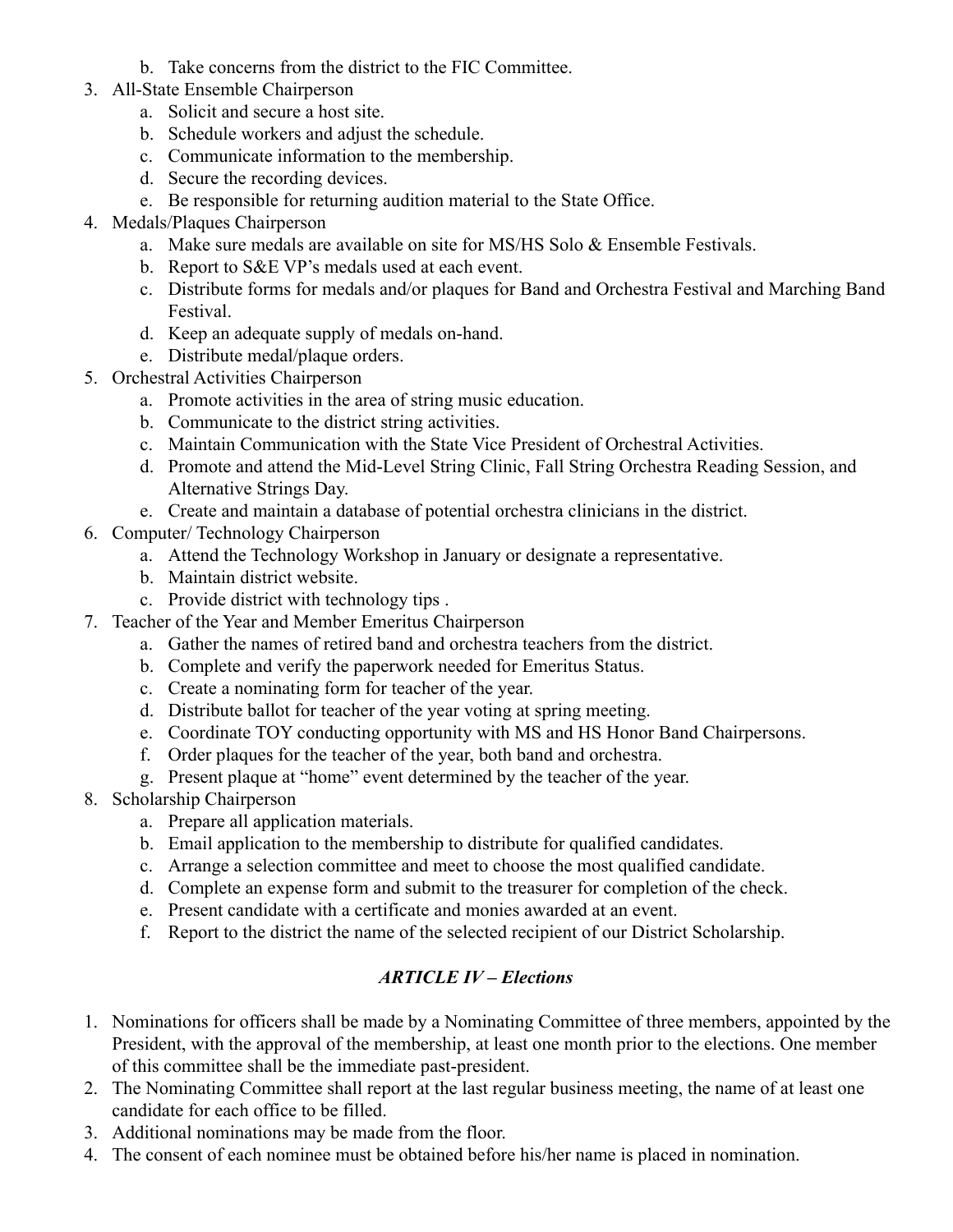- b. Take concerns from the district to the FIC Committee.
- 3. All-State Ensemble Chairperson
	- a. Solicit and secure a host site.
	- b. Schedule workers and adjust the schedule.
	- c. Communicate information to the membership.
	- d. Secure the recording devices.
	- e. Be responsible for returning audition material to the State Office.
- 4. Medals/Plaques Chairperson
	- a. Make sure medals are available on site for MS/HS Solo  $&$  Ensemble Festivals.
	- b. Report to S&E VP's medals used at each event.
	- c. Distribute forms for medals and/or plaques for Band and Orchestra Festival and Marching Band Festival.
	- d. Keep an adequate supply of medals on-hand.
	- e. Distribute medal/plaque orders.
- 5. Orchestral Activities Chairperson
	- a. Promote activities in the area of string music education.
	- b. Communicate to the district string activities.
	- c. Maintain Communication with the State Vice President of Orchestral Activities.
	- d. Promote and attend the Mid-Level String Clinic, Fall String Orchestra Reading Session, and Alternative Strings Day.
	- e. Create and maintain a database of potential orchestra clinicians in the district.
- 6. Computer/ Technology Chairperson
	- a. Attend the Technology Workshop in January or designate a representative.
	- b. Maintain district website.
	- c. Provide district with technology tips .
- 7. Teacher of the Year and Member Emeritus Chairperson
	- a. Gather the names of retired band and orchestra teachers from the district.
	- b. Complete and verify the paperwork needed for Emeritus Status.
	- c. Create a nominating form for teacher of the year.
	- d. Distribute ballot for teacher of the year voting at spring meeting.
	- e. Coordinate TOY conducting opportunity with MS and HS Honor Band Chairpersons.
	- f. Order plaques for the teacher of the year, both band and orchestra.
	- g. Present plaque at "home" event determined by the teacher of the year.
- 8. Scholarship Chairperson
	- a. Prepare all application materials.
	- b. Email application to the membership to distribute for qualified candidates.
	- c. Arrange a selection committee and meet to choose the most qualified candidate.
	- d. Complete an expense form and submit to the treasurer for completion of the check.
	- e. Present candidate with a certificate and monies awarded at an event.
	- f. Report to the district the name of the selected recipient of our District Scholarship.

# *ARTICLE IV – Elections*

- 1. Nominations for officers shall be made by a Nominating Committee of three members, appointed by the President, with the approval of the membership, at least one month prior to the elections. One member of this committee shall be the immediate past-president.
- 2. The Nominating Committee shall report at the last regular business meeting, the name of at least one candidate for each office to be filled.
- 3. Additional nominations may be made from the floor.
- 4. The consent of each nominee must be obtained before his/her name is placed in nomination.